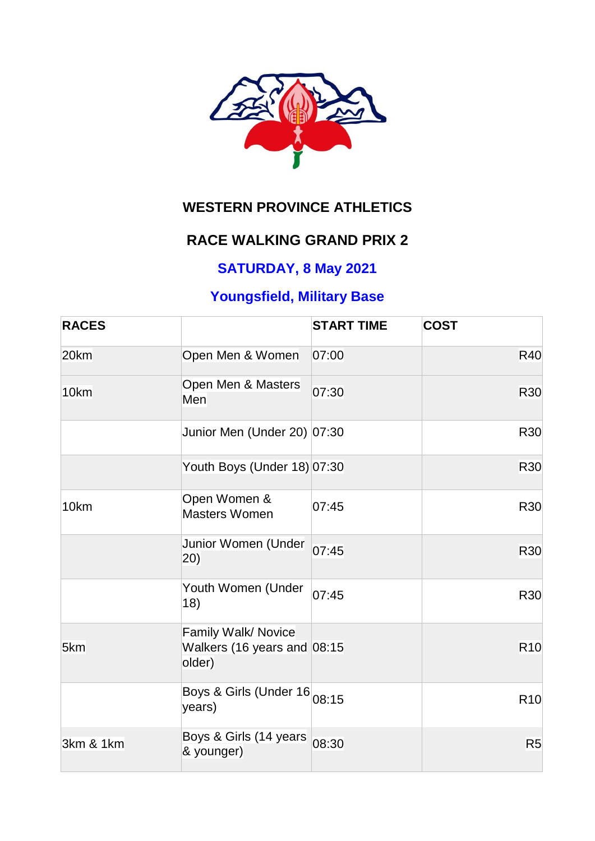

# **WESTERN PROVINCE ATHLETICS**

### **RACE WALKING GRAND PRIX 2**

### **SATURDAY, 8 May 2021**

## **Youngsfield, Military Base**

| <b>RACES</b> |                                                              | <b>START TIME</b> | <b>COST</b>     |
|--------------|--------------------------------------------------------------|-------------------|-----------------|
| 20km         | Open Men & Women                                             | 07:00             | <b>R40</b>      |
| 10km         | Open Men & Masters<br>Men                                    | 07:30             | R30             |
|              | Junior Men (Under 20) 07:30                                  |                   | <b>R30</b>      |
|              | Youth Boys (Under 18) 07:30                                  |                   | <b>R30</b>      |
| 10km         | Open Women &<br><b>Masters Women</b>                         | 07:45             | <b>R30</b>      |
|              | Junior Women (Under<br>(20)                                  | 07:45             | R30             |
|              | Youth Women (Under<br>18)                                    | 07:45             | R30             |
| 5km          | Family Walk/ Novice<br>Walkers (16 years and 08:15<br>older) |                   | R <sub>10</sub> |
|              | Boys & Girls (Under 16 08:15<br>years)                       |                   | <b>R10</b>      |
| 3km & 1km    | Boys & Girls (14 years<br>& younger)                         | 08:30             | R <sub>5</sub>  |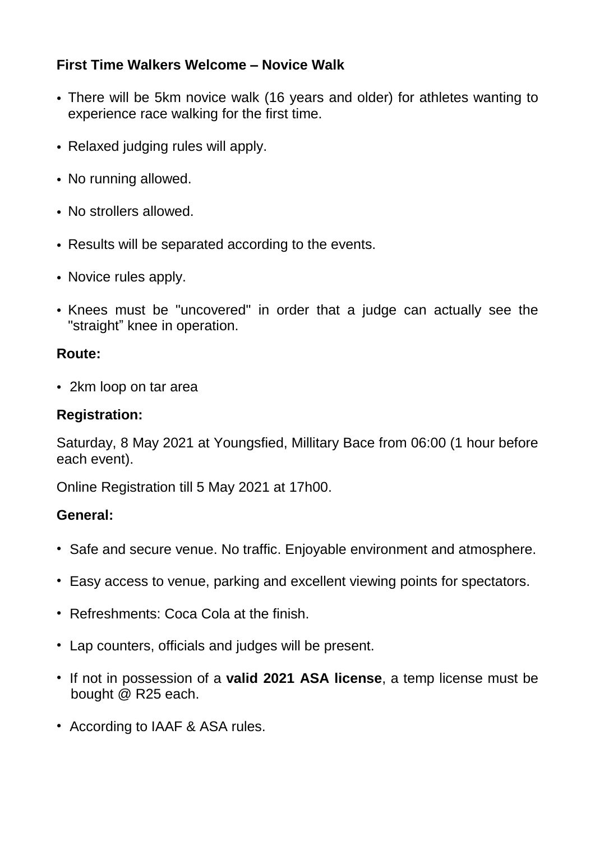### **First Time Walkers Welcome – Novice Walk**

- There will be 5km novice walk (16 years and older) for athletes wanting to experience race walking for the first time.
- Relaxed judging rules will apply.
- No running allowed.
- No strollers allowed.
- Results will be separated according to the events.
- Novice rules apply.
- Knees must be "uncovered" in order that a judge can actually see the "straight" knee in operation.

#### **Route:**

• 2km loop on tar area

#### **Registration:**

Saturday, 8 May 2021 at Youngsfied, Millitary Bace from 06:00 (1 hour before each event).

Online Registration till 5 May 2021 at 17h00.

#### **General:**

- Safe and secure venue. No traffic. Enjoyable environment and atmosphere.
- Easy access to venue, parking and excellent viewing points for spectators.
- Refreshments: Coca Cola at the finish.
- Lap counters, officials and judges will be present.
- If not in possession of a **valid 2021 ASA license**, a temp license must be bought @ R25 each.
- According to IAAF & ASA rules.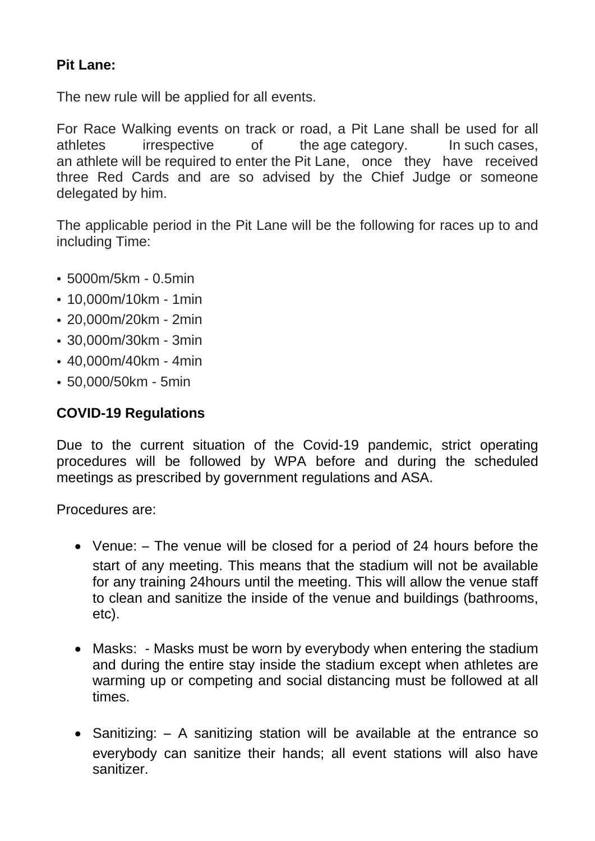### **Pit Lane:**

The new rule will be applied for all events.

For Race Walking events on track or road, a Pit Lane shall be used for all athletes irrespective of the age category. In such cases, an athlete will be required to enter the Pit Lane, once they have received three Red Cards and are so advised by the Chief Judge or someone delegated by him.

The applicable period in the Pit Lane will be the following for races up to and including Time:

- 5000m/5km 0.5min
- 10,000m/10km 1min
- 20,000m/20km 2min
- 30,000m/30km 3min
- 40,000m/40km 4min
- 50,000/50km 5min

#### **COVID-19 Regulations**

Due to the current situation of the Covid-19 pandemic, strict operating procedures will be followed by WPA before and during the scheduled meetings as prescribed by government regulations and ASA.

Procedures are:

- Venue: The venue will be closed for a period of 24 hours before the start of any meeting. This means that the stadium will not be available for any training 24hours until the meeting. This will allow the venue staff to clean and sanitize the inside of the venue and buildings (bathrooms, etc).
- Masks: Masks must be worn by everybody when entering the stadium and during the entire stay inside the stadium except when athletes are warming up or competing and social distancing must be followed at all times.
- Sanitizing: A sanitizing station will be available at the entrance so everybody can sanitize their hands; all event stations will also have sanitizer.